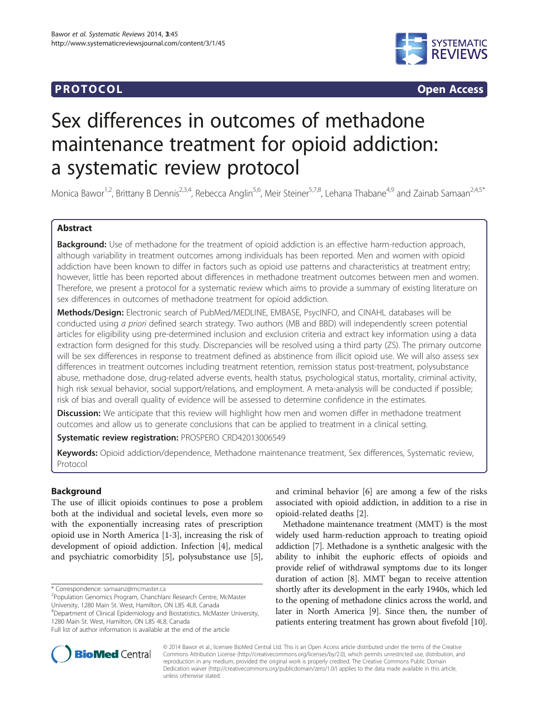## **PROTOCOL CONSUMING ACCESS CONSUMING ACCESS**



# Sex differences in outcomes of methadone maintenance treatment for opioid addiction: a systematic review protocol

Monica Bawor<sup>1,2</sup>, Brittany B Dennis<sup>2,3,4</sup>, Rebecca Anglin<sup>5,6</sup>, Meir Steiner<sup>5,7,8</sup>, Lehana Thabane<sup>4,9</sup> and Zainab Samaan<sup>2,4,5\*</sup>

## Abstract

Background: Use of methadone for the treatment of opioid addiction is an effective harm-reduction approach, although variability in treatment outcomes among individuals has been reported. Men and women with opioid addiction have been known to differ in factors such as opioid use patterns and characteristics at treatment entry; however, little has been reported about differences in methadone treatment outcomes between men and women. Therefore, we present a protocol for a systematic review which aims to provide a summary of existing literature on sex differences in outcomes of methadone treatment for opioid addiction.

Methods/Design: Electronic search of PubMed/MEDLINE, EMBASE, PsycINFO, and CINAHL databases will be conducted using a priori defined search strategy. Two authors (MB and BBD) will independently screen potential articles for eligibility using pre-determined inclusion and exclusion criteria and extract key information using a data extraction form designed for this study. Discrepancies will be resolved using a third party (ZS). The primary outcome will be sex differences in response to treatment defined as abstinence from illicit opioid use. We will also assess sex differences in treatment outcomes including treatment retention, remission status post-treatment, polysubstance abuse, methadone dose, drug-related adverse events, health status, psychological status, mortality, criminal activity, high risk sexual behavior, social support/relations, and employment. A meta-analysis will be conducted if possible; risk of bias and overall quality of evidence will be assessed to determine confidence in the estimates.

Discussion: We anticipate that this review will highlight how men and women differ in methadone treatment outcomes and allow us to generate conclusions that can be applied to treatment in a clinical setting.

Systematic review registration: PROSPERO [CRD42013006549](http://www.crd.york.ac.uk/PROSPERO/display_record.asp?ID=CRD42013006549#.U3KYP_ldXCs)

Keywords: Opioid addiction/dependence, Methadone maintenance treatment, Sex differences, Systematic review, Protocol

## **Background**

The use of illicit opioids continues to pose a problem both at the individual and societal levels, even more so with the exponentially increasing rates of prescription opioid use in North America [\[1-3](#page-5-0)], increasing the risk of development of opioid addiction. Infection [\[4](#page-5-0)], medical and psychiatric comorbidity [\[5](#page-5-0)], polysubstance use [\[5](#page-5-0)],

\* Correspondence: [samaanz@mcmaster.ca](mailto:samaanz@mcmaster.ca) <sup>2</sup>

<sup>2</sup>Population Genomics Program, Chanchlani Research Centre, McMaster University, 1280 Main St. West, Hamilton, ON L8S 4L8, Canada 4 Department of Clinical Epidemiology and Biostatistics, McMaster University, and criminal behavior [[6\]](#page-5-0) are among a few of the risks associated with opioid addiction, in addition to a rise in opioid-related deaths [\[2](#page-5-0)].

Methadone maintenance treatment (MMT) is the most widely used harm-reduction approach to treating opioid addiction [\[7](#page-5-0)]. Methadone is a synthetic analgesic with the ability to inhibit the euphoric effects of opioids and provide relief of withdrawal symptoms due to its longer duration of action [\[8](#page-5-0)]. MMT began to receive attention shortly after its development in the early 1940s, which led to the opening of methadone clinics across the world, and later in North America [\[9\]](#page-5-0). Since then, the number of patients entering treatment has grown about fivefold [[10](#page-5-0)].



© 2014 Bawor et al.; licensee BioMed Central Ltd. This is an Open Access article distributed under the terms of the Creative Commons Attribution License [\(http://creativecommons.org/licenses/by/2.0\)](http://creativecommons.org/licenses/by/2.0), which permits unrestricted use, distribution, and reproduction in any medium, provided the original work is properly credited. The Creative Commons Public Domain Dedication waiver [\(http://creativecommons.org/publicdomain/zero/1.0/](http://creativecommons.org/publicdomain/zero/1.0/)) applies to the data made available in this article, unless otherwise stated.

<sup>1280</sup> Main St. West, Hamilton, ON L8S 4L8, Canada Full list of author information is available at the end of the article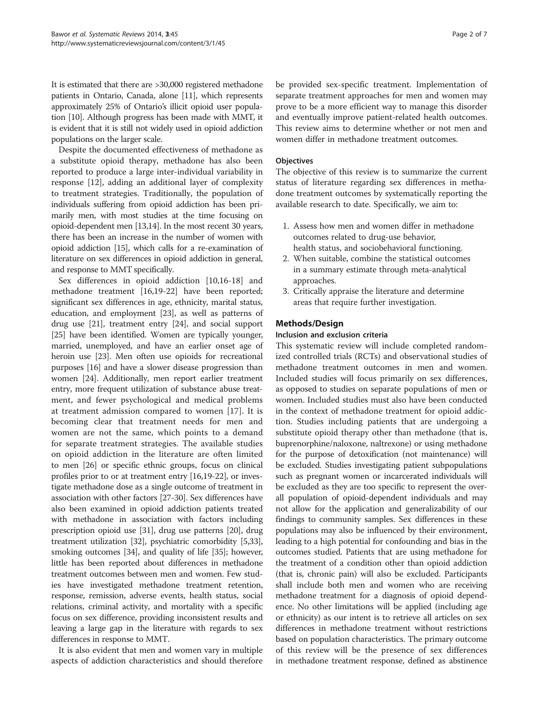It is estimated that there are >30,000 registered methadone patients in Ontario, Canada, alone [[11](#page-5-0)], which represents approximately 25% of Ontario's illicit opioid user population [[10](#page-5-0)]. Although progress has been made with MMT, it is evident that it is still not widely used in opioid addiction populations on the larger scale.

Despite the documented effectiveness of methadone as a substitute opioid therapy, methadone has also been reported to produce a large inter-individual variability in response [[12\]](#page-5-0), adding an additional layer of complexity to treatment strategies. Traditionally, the population of individuals suffering from opioid addiction has been primarily men, with most studies at the time focusing on opioid-dependent men [\[13,14](#page-5-0)]. In the most recent 30 years, there has been an increase in the number of women with opioid addiction [\[15\]](#page-5-0), which calls for a re-examination of literature on sex differences in opioid addiction in general, and response to MMT specifically.

Sex differences in opioid addiction [[10](#page-5-0),[16](#page-5-0)-[18\]](#page-6-0) and methadone treatment [\[16](#page-5-0)[,19-22](#page-6-0)] have been reported; significant sex differences in age, ethnicity, marital status, education, and employment [[23\]](#page-6-0), as well as patterns of drug use [\[21\]](#page-6-0), treatment entry [\[24\]](#page-6-0), and social support [[25](#page-6-0)] have been identified. Women are typically younger, married, unemployed, and have an earlier onset age of heroin use [\[23\]](#page-6-0). Men often use opioids for recreational purposes [[16\]](#page-5-0) and have a slower disease progression than women [\[24\]](#page-6-0). Additionally, men report earlier treatment entry, more frequent utilization of substance abuse treatment, and fewer psychological and medical problems at treatment admission compared to women [[17](#page-5-0)]. It is becoming clear that treatment needs for men and women are not the same, which points to a demand for separate treatment strategies. The available studies on opioid addiction in the literature are often limited to men [[26](#page-6-0)] or specific ethnic groups, focus on clinical profiles prior to or at treatment entry [[16](#page-5-0),[19](#page-6-0)-[22](#page-6-0)], or investigate methadone dose as a single outcome of treatment in association with other factors [[27](#page-6-0)-[30](#page-6-0)]. Sex differences have also been examined in opioid addiction patients treated with methadone in association with factors including prescription opioid use [\[31\]](#page-6-0), drug use patterns [[20](#page-6-0)], drug treatment utilization [\[32](#page-6-0)], psychiatric comorbidity [[5,](#page-5-0)[33](#page-6-0)], smoking outcomes [[34](#page-6-0)], and quality of life [\[35\]](#page-6-0); however, little has been reported about differences in methadone treatment outcomes between men and women. Few studies have investigated methadone treatment retention, response, remission, adverse events, health status, social relations, criminal activity, and mortality with a specific focus on sex difference, providing inconsistent results and leaving a large gap in the literature with regards to sex differences in response to MMT.

It is also evident that men and women vary in multiple aspects of addiction characteristics and should therefore be provided sex-specific treatment. Implementation of separate treatment approaches for men and women may prove to be a more efficient way to manage this disorder and eventually improve patient-related health outcomes. This review aims to determine whether or not men and women differ in methadone treatment outcomes.

#### **Objectives**

The objective of this review is to summarize the current status of literature regarding sex differences in methadone treatment outcomes by systematically reporting the available research to date. Specifically, we aim to:

- 1. Assess how men and women differ in methadone outcomes related to drug-use behavior, health status, and sociobehavioral functioning.
- 2. When suitable, combine the statistical outcomes in a summary estimate through meta-analytical approaches.
- 3. Critically appraise the literature and determine areas that require further investigation.

## Methods/Design

#### Inclusion and exclusion criteria

This systematic review will include completed randomized controlled trials (RCTs) and observational studies of methadone treatment outcomes in men and women. Included studies will focus primarily on sex differences, as opposed to studies on separate populations of men or women. Included studies must also have been conducted in the context of methadone treatment for opioid addiction. Studies including patients that are undergoing a substitute opioid therapy other than methadone (that is, buprenorphine/naloxone, naltrexone) or using methadone for the purpose of detoxification (not maintenance) will be excluded. Studies investigating patient subpopulations such as pregnant women or incarcerated individuals will be excluded as they are too specific to represent the overall population of opioid-dependent individuals and may not allow for the application and generalizability of our findings to community samples. Sex differences in these populations may also be influenced by their environment, leading to a high potential for confounding and bias in the outcomes studied. Patients that are using methadone for the treatment of a condition other than opioid addiction (that is, chronic pain) will also be excluded. Participants shall include both men and women who are receiving methadone treatment for a diagnosis of opioid dependence. No other limitations will be applied (including age or ethnicity) as our intent is to retrieve all articles on sex differences in methadone treatment without restrictions based on population characteristics. The primary outcome of this review will be the presence of sex differences in methadone treatment response, defined as abstinence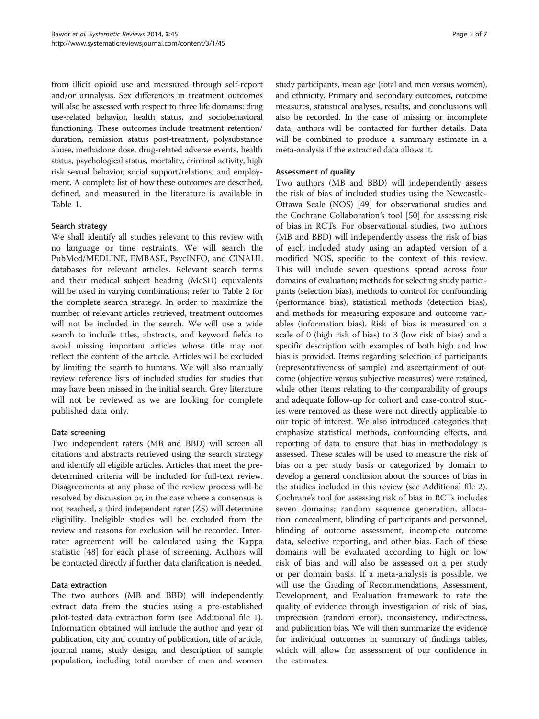from illicit opioid use and measured through self-report and/or urinalysis. Sex differences in treatment outcomes will also be assessed with respect to three life domains: drug use-related behavior, health status, and sociobehavioral functioning. These outcomes include treatment retention/ duration, remission status post-treatment, polysubstance abuse, methadone dose, drug-related adverse events, health status, psychological status, mortality, criminal activity, high risk sexual behavior, social support/relations, and employment. A complete list of how these outcomes are described, defined, and measured in the literature is available in Table [1](#page-3-0).

#### Search strategy

We shall identify all studies relevant to this review with no language or time restraints. We will search the PubMed/MEDLINE, EMBASE, PsycINFO, and CINAHL databases for relevant articles. Relevant search terms and their medical subject heading (MeSH) equivalents will be used in varying combinations; refer to Table [2](#page-4-0) for the complete search strategy. In order to maximize the number of relevant articles retrieved, treatment outcomes will not be included in the search. We will use a wide search to include titles, abstracts, and keyword fields to avoid missing important articles whose title may not reflect the content of the article. Articles will be excluded by limiting the search to humans. We will also manually review reference lists of included studies for studies that may have been missed in the initial search. Grey literature will not be reviewed as we are looking for complete published data only.

#### Data screening

Two independent raters (MB and BBD) will screen all citations and abstracts retrieved using the search strategy and identify all eligible articles. Articles that meet the predetermined criteria will be included for full-text review. Disagreements at any phase of the review process will be resolved by discussion or, in the case where a consensus is not reached, a third independent rater (ZS) will determine eligibility. Ineligible studies will be excluded from the review and reasons for exclusion will be recorded. Interrater agreement will be calculated using the Kappa statistic [[48\]](#page-6-0) for each phase of screening. Authors will be contacted directly if further data clarification is needed.

## Data extraction

The two authors (MB and BBD) will independently extract data from the studies using a pre-established pilot-tested data extraction form (see Additional file [1](#page-5-0)). Information obtained will include the author and year of publication, city and country of publication, title of article, journal name, study design, and description of sample population, including total number of men and women study participants, mean age (total and men versus women), and ethnicity. Primary and secondary outcomes, outcome measures, statistical analyses, results, and conclusions will also be recorded. In the case of missing or incomplete data, authors will be contacted for further details. Data will be combined to produce a summary estimate in a meta-analysis if the extracted data allows it.

## Assessment of quality

Two authors (MB and BBD) will independently assess the risk of bias of included studies using the Newcastle-Ottawa Scale (NOS) [\[49](#page-6-0)] for observational studies and the Cochrane Collaboration's tool [[50](#page-6-0)] for assessing risk of bias in RCTs. For observational studies, two authors (MB and BBD) will independently assess the risk of bias of each included study using an adapted version of a modified NOS, specific to the context of this review. This will include seven questions spread across four domains of evaluation; methods for selecting study participants (selection bias), methods to control for confounding (performance bias), statistical methods (detection bias), and methods for measuring exposure and outcome variables (information bias). Risk of bias is measured on a scale of 0 (high risk of bias) to 3 (low risk of bias) and a specific description with examples of both high and low bias is provided. Items regarding selection of participants (representativeness of sample) and ascertainment of outcome (objective versus subjective measures) were retained, while other items relating to the comparability of groups and adequate follow-up for cohort and case-control studies were removed as these were not directly applicable to our topic of interest. We also introduced categories that emphasize statistical methods, confounding effects, and reporting of data to ensure that bias in methodology is assessed. These scales will be used to measure the risk of bias on a per study basis or categorized by domain to develop a general conclusion about the sources of bias in the studies included in this review (see Additional file [2](#page-5-0)). Cochrane's tool for assessing risk of bias in RCTs includes seven domains; random sequence generation, allocation concealment, blinding of participants and personnel, blinding of outcome assessment, incomplete outcome data, selective reporting, and other bias. Each of these domains will be evaluated according to high or low risk of bias and will also be assessed on a per study or per domain basis. If a meta-analysis is possible, we will use the Grading of Recommendations, Assessment, Development, and Evaluation framework to rate the quality of evidence through investigation of risk of bias, imprecision (random error), inconsistency, indirectness, and publication bias. We will then summarize the evidence for individual outcomes in summary of findings tables, which will allow for assessment of our confidence in the estimates.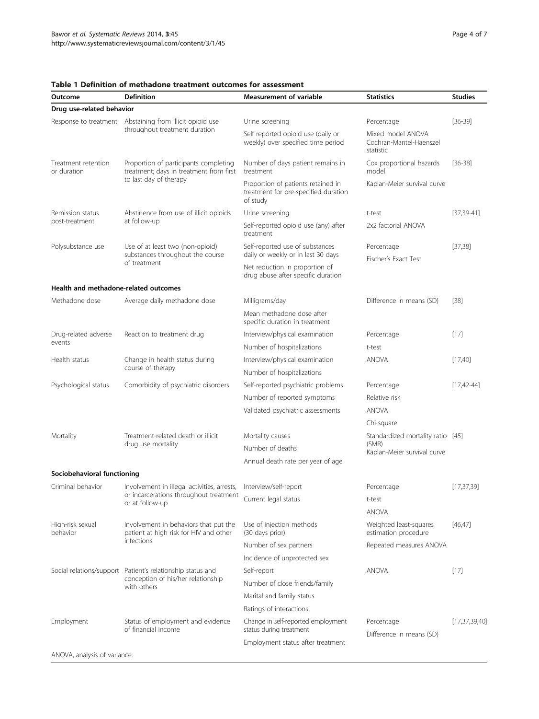| Outcome                               | <b>Definition</b>                                                                                                              | <b>Measurement of variable</b>                                                         | <b>Statistics</b>                                                         | <b>Studies</b>  |
|---------------------------------------|--------------------------------------------------------------------------------------------------------------------------------|----------------------------------------------------------------------------------------|---------------------------------------------------------------------------|-----------------|
| Drug use-related behavior             |                                                                                                                                |                                                                                        |                                                                           |                 |
|                                       | Response to treatment Abstaining from illicit opioid use<br>throughout treatment duration                                      | Urine screening                                                                        | Percentage                                                                | $[36-39]$       |
|                                       |                                                                                                                                | Self reported opioid use (daily or<br>weekly) over specified time period               | Mixed model ANOVA<br>Cochran-Mantel-Haenszel<br>statistic                 |                 |
| Treatment retention<br>or duration    | Proportion of participants completing<br>treatment; days in treatment from first<br>to last day of therapy                     | Number of days patient remains in<br>treatment                                         | Cox proportional hazards<br>model                                         | $[36-38]$       |
|                                       |                                                                                                                                | Proportion of patients retained in<br>treatment for pre-specified duration<br>of study | Kaplan-Meier survival curve                                               |                 |
| Remission status<br>post-treatment    | Abstinence from use of illicit opioids<br>at follow-up                                                                         | Urine screening                                                                        | t-test                                                                    | $[37, 39 - 41]$ |
|                                       |                                                                                                                                | Self-reported opioid use (any) after<br>treatment                                      | 2x2 factorial ANOVA                                                       |                 |
| Polysubstance use                     | Use of at least two (non-opioid)<br>substances throughout the course<br>of treatment                                           | Self-reported use of substances<br>daily or weekly or in last 30 days                  | Percentage<br>Fischer's Exact Test                                        | [37, 38]        |
|                                       |                                                                                                                                | Net reduction in proportion of<br>drug abuse after specific duration                   |                                                                           |                 |
| Health and methadone-related outcomes |                                                                                                                                |                                                                                        |                                                                           |                 |
| Methadone dose                        | Average daily methadone dose                                                                                                   | Milligrams/day                                                                         | Difference in means (SD)                                                  | $[38]$          |
|                                       |                                                                                                                                | Mean methadone dose after<br>specific duration in treatment                            |                                                                           |                 |
| Drug-related adverse<br>events        | Reaction to treatment drug                                                                                                     | Interview/physical examination                                                         | Percentage                                                                | $[17]$          |
|                                       |                                                                                                                                | Number of hospitalizations                                                             | t-test                                                                    |                 |
| Health status                         | Change in health status during<br>course of therapy                                                                            | Interview/physical examination                                                         | <b>ANOVA</b>                                                              | [17,40]         |
|                                       |                                                                                                                                | Number of hospitalizations                                                             |                                                                           |                 |
| Psychological status                  | Comorbidity of psychiatric disorders                                                                                           | Self-reported psychiatric problems                                                     | Percentage                                                                | $[17, 42 - 44]$ |
|                                       |                                                                                                                                | Number of reported symptoms                                                            | Relative risk                                                             |                 |
|                                       |                                                                                                                                | Validated psychiatric assessments                                                      | <b>ANOVA</b>                                                              |                 |
|                                       |                                                                                                                                |                                                                                        | Chi-square                                                                |                 |
| Mortality                             | Treatment-related death or illicit<br>drug use mortality                                                                       | Mortality causes                                                                       | Standardized mortality ratio [45]<br>(SMR)<br>Kaplan-Meier survival curve |                 |
|                                       |                                                                                                                                | Number of deaths                                                                       |                                                                           |                 |
|                                       |                                                                                                                                | Annual death rate per year of age                                                      |                                                                           |                 |
| Sociobehavioral functioning           |                                                                                                                                |                                                                                        |                                                                           |                 |
| Criminal behavior                     | Involvement in illegal activities, arrests, Interview/self-report<br>or incarcerations throughout treatment<br>or at follow-up |                                                                                        | Percentage                                                                | [17, 37, 39]    |
|                                       |                                                                                                                                | Current legal status                                                                   | t-test                                                                    |                 |
|                                       |                                                                                                                                |                                                                                        | <b>ANOVA</b>                                                              |                 |
| High-risk sexual<br>behavior          | Involvement in behaviors that put the<br>patient at high risk for HIV and other<br>infections                                  | Use of injection methods<br>(30 days prior)                                            | Weighted least-squares<br>estimation procedure                            | [46, 47]        |
|                                       |                                                                                                                                | Number of sex partners                                                                 | Repeated measures ANOVA                                                   |                 |
|                                       |                                                                                                                                | Incidence of unprotected sex                                                           |                                                                           |                 |
|                                       | Social relations/support Patient's relationship status and<br>conception of his/her relationship<br>with others                | Self-report                                                                            | <b>ANOVA</b>                                                              | $[17]$          |
|                                       |                                                                                                                                | Number of close friends/family                                                         |                                                                           |                 |
|                                       |                                                                                                                                | Marital and family status                                                              |                                                                           |                 |
|                                       |                                                                                                                                | Ratings of interactions                                                                |                                                                           |                 |
| Employment                            | Status of employment and evidence<br>of financial income                                                                       | Change in self-reported employment<br>status during treatment                          | Percentage<br>Difference in means (SD)                                    | [17,37,39,40]   |
|                                       |                                                                                                                                | Employment status after treatment                                                      |                                                                           |                 |
| ANOVA, analysis of variance.          |                                                                                                                                |                                                                                        |                                                                           |                 |

## <span id="page-3-0"></span>Table 1 Definition of methadone treatment outcomes for assessment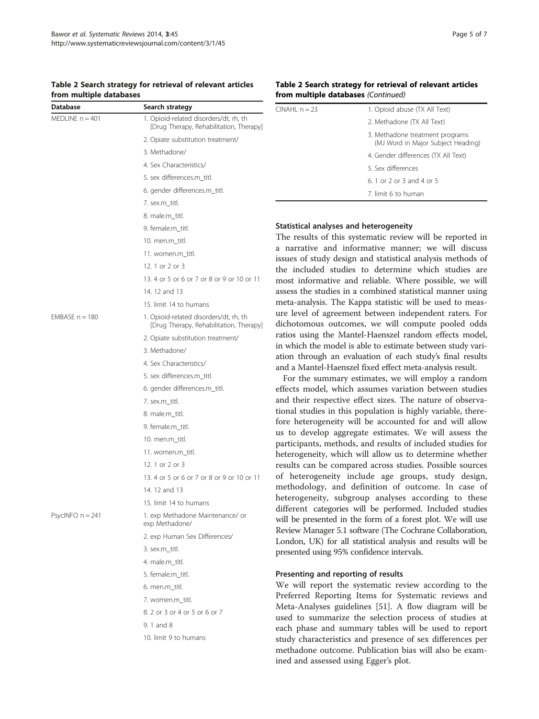#### <span id="page-4-0"></span>Table 2 Search strategy for retrieval of relevant articles from multiple databases

| Database          | Search strategy                                                                   |
|-------------------|-----------------------------------------------------------------------------------|
| $MEDLINE n = 401$ | 1. Opioid-related disorders/dt, rh, th<br>[Drug Therapy, Rehabilitation, Therapy] |
|                   | 2. Opiate substitution treatment/                                                 |
|                   | 3 Methadone/                                                                      |
|                   | 4. Sex Characteristics/                                                           |
|                   | 5. sex differences.m_titl.                                                        |
|                   | 6. gender differences.m_titl.                                                     |
|                   | 7. sex.m_titl.                                                                    |
|                   | 8. male.m_titl.                                                                   |
|                   | 9. female.m_titl.                                                                 |
|                   | 10. men.m $_{\rm \pm}$ titl.                                                      |
|                   | 11. women.m_titl.                                                                 |
|                   | 12. 1 or 2 or 3                                                                   |
|                   | 13. 4 or 5 or 6 or 7 or 8 or 9 or 10 or 11                                        |
|                   | 14, 12 and 13                                                                     |
|                   | 15. limit 14 to humans                                                            |
| EMBASE n = 180    | 1. Opioid-related disorders/dt, rh, th<br>[Drug Therapy, Rehabilitation, Therapy] |
|                   | 2. Opiate substitution treatment/                                                 |
|                   | 3. Methadone/                                                                     |
|                   | 4. Sex Characteristics/                                                           |
|                   | 5. sex differences.m_titl.                                                        |
|                   | 6. gender differences.m_titl.                                                     |
|                   | 7. sex.m_titl.                                                                    |
|                   | 8. male.m_titl.                                                                   |
|                   | 9. female.m_titl.                                                                 |
|                   | 10. men.m $_{\rm \pm}$ titl.                                                      |
|                   | 11. women.m_titl.                                                                 |
|                   | 12. 1 or 2 or 3                                                                   |
|                   | 13. 4 or 5 or 6 or 7 or 8 or 9 or 10 or 11                                        |
|                   | 14. 12 and 13                                                                     |
|                   | 15. limit 14 to humans                                                            |
| PsycINFO n = 241  | 1. exp Methadone Maintenance/ or<br>exp Methadone/                                |
|                   | 2. exp Human Sex Differences/                                                     |
|                   | 3. sex.m titl.                                                                    |
|                   | 4. male.m titl.                                                                   |
|                   | 5. female.m titl.                                                                 |
|                   | 6. men.m_titl.                                                                    |
|                   | 7. women.m_titl.                                                                  |
|                   | 8. 2 or 3 or 4 or 5 or 6 or 7                                                     |
|                   | $9.1$ and $8$                                                                     |
|                   | 10. limit 9 to humans                                                             |
|                   |                                                                                   |

#### Table 2 Search strategy for retrieval of relevant articles from multiple databases (Continued)

| $CIMAHI n = 23$ | 1. Opioid abuse (TX All Text)                                         |
|-----------------|-----------------------------------------------------------------------|
|                 | 2. Methadone (TX All Text)                                            |
|                 | 3. Methadone treatment programs<br>(MJ Word in Major Subject Heading) |
|                 | 4. Gender differences (TX All Text)                                   |
|                 | 5. Sex differences                                                    |
|                 | 6.1 or 2 or 3 and 4 or 5                                              |
|                 | 7. limit 6 to human                                                   |

## Statistical analyses and heterogeneity

The results of this systematic review will be reported in a narrative and informative manner; we will discuss issues of study design and statistical analysis methods of the included studies to determine which studies are most informative and reliable. Where possible, we will assess the studies in a combined statistical manner using meta-analysis. The Kappa statistic will be used to measure level of agreement between independent raters. For dichotomous outcomes, we will compute pooled odds ratios using the Mantel-Haenszel random effects model, in which the model is able to estimate between study variation through an evaluation of each study's final results and a Mantel-Haenszel fixed effect meta-analysis result.

For the summary estimates, we will employ a random effects model, which assumes variation between studies and their respective effect sizes. The nature of observational studies in this population is highly variable, therefore heterogeneity will be accounted for and will allow us to develop aggregate estimates. We will assess the participants, methods, and results of included studies for heterogeneity, which will allow us to determine whether results can be compared across studies. Possible sources of heterogeneity include age groups, study design, methodology, and definition of outcome. In case of heterogeneity, subgroup analyses according to these different categories will be performed. Included studies will be presented in the form of a forest plot. We will use Review Manager 5.1 software (The Cochrane Collaboration, London, UK) for all statistical analysis and results will be presented using 95% confidence intervals.

#### Presenting and reporting of results

We will report the systematic review according to the Preferred Reporting Items for Systematic reviews and Meta-Analyses guidelines [[51](#page-6-0)]. A flow diagram will be used to summarize the selection process of studies at each phase and summary tables will be used to report study characteristics and presence of sex differences per methadone outcome. Publication bias will also be examined and assessed using Egger's plot.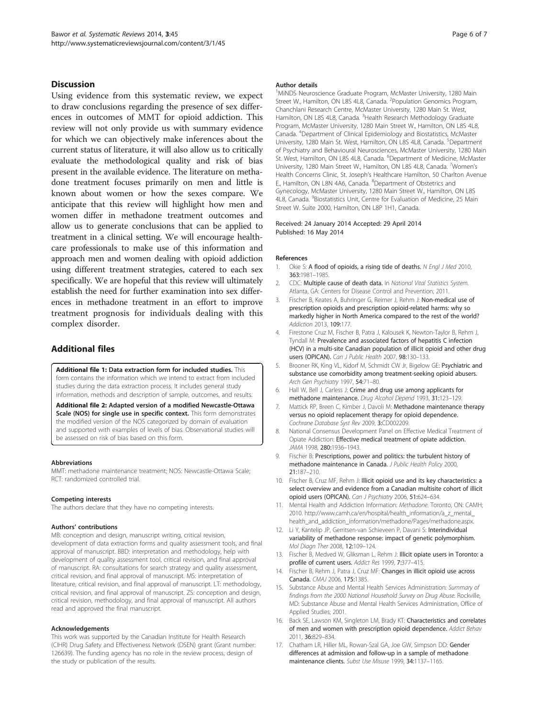#### <span id="page-5-0"></span>**Discussion**

Using evidence from this systematic review, we expect to draw conclusions regarding the presence of sex differences in outcomes of MMT for opioid addiction. This review will not only provide us with summary evidence for which we can objectively make inferences about the current status of literature, it will also allow us to critically evaluate the methodological quality and risk of bias present in the available evidence. The literature on methadone treatment focuses primarily on men and little is known about women or how the sexes compare. We anticipate that this review will highlight how men and women differ in methadone treatment outcomes and allow us to generate conclusions that can be applied to treatment in a clinical setting. We will encourage healthcare professionals to make use of this information and approach men and women dealing with opioid addiction using different treatment strategies, catered to each sex specifically. We are hopeful that this review will ultimately establish the need for further examination into sex differences in methadone treatment in an effort to improve treatment prognosis for individuals dealing with this complex disorder.

## Additional files

[Additional file 1:](http://www.biomedcentral.com/content/supplementary/2046-4053-3-45-S1.pdf) Data extraction form for included studies. This form contains the information which we intend to extract from included studies during the data extraction process. It includes general study information, methods and description of sample, outcomes, and results.

[Additional file 2:](http://www.biomedcentral.com/content/supplementary/2046-4053-3-45-S2.pdf) Adapted version of a modified Newcastle-Ottawa Scale (NOS) for single use in specific context. This form demonstrates the modified version of the NOS categorized by domain of evaluation and supported with examples of levels of bias. Observational studies will be assessed on risk of bias based on this form.

#### Abbreviations

MMT: methadone maintenance treatment; NOS: Newcastle-Ottawa Scale; RCT: randomized controlled trial.

#### Competing interests

The authors declare that they have no competing interests.

#### Authors' contributions

MB: conception and design, manuscript writing, critical revision, development of data extraction forms and quality assessment tools, and final approval of manuscript. BBD: interpretation and methodology, help with development of quality assessment tool, critical revision, and final approval of manuscript. RA: consultations for search strategy and quality assessment, critical revision, and final approval of manuscript. MS: interpretation of literature, critical revision, and final approval of manuscript. LT: methodology, critical revision, and final approval of manuscript. ZS: conception and design, critical revision, methodology, and final approval of manuscript. All authors read and approved the final manuscript.

#### Acknowledgements

This work was supported by the Canadian Institute for Health Research (CIHR) Drug Safety and Effectiveness Network (DSEN) grant (Grant number: 126639). The funding agency has no role in the review process, design of the study or publication of the results.

#### Author details

<sup>1</sup>MINDS Neuroscience Graduate Program, McMaster University, 1280 Main Street W., Hamilton, ON L8S 4L8, Canada. <sup>2</sup>Population Genomics Program Chanchlani Research Centre, McMaster University, 1280 Main St. West, Hamilton, ON L8S 4L8, Canada. <sup>3</sup> Health Research Methodology Graduate Program, McMaster University, 1280 Main Street W., Hamilton, ON L8S 4L8, Canada. <sup>4</sup> Department of Clinical Epidemiology and Biostatistics, McMaster University, 1280 Main St. West, Hamilton, ON L8S 4L8, Canada. <sup>5</sup>Department of Psychiatry and Behavioural Neurosciences, McMaster University, 1280 Main St. West, Hamilton, ON L8S 4L8, Canada. <sup>6</sup>Department of Medicine, McMaster University, 1280 Main Street W., Hamilton, ON L8S 4L8, Canada. 7Women's Health Concerns Clinic, St. Joseph's Healthcare Hamilton, 50 Charlton Avenue E., Hamilton, ON L8N 4A6, Canada. <sup>8</sup>Department of Obstetrics and Gynecology, McMaster University, 1280 Main Street W., Hamilton, ON L8S 4L8, Canada. <sup>9</sup>Biostatistics Unit, Centre for Evaluation of Medicine, 25 Main Street W. Suite 2000, Hamilton, ON L8P 1H1, Canada.

#### Received: 24 January 2014 Accepted: 29 April 2014 Published: 16 May 2014

#### References

- 1. Okie S: A flood of opioids, a rising tide of deaths. N Engl J Med 2010, 363:1981–1985.
- 2. CDC: Multiple cause of death data. In National Vital Statistics System. Atlanta, GA: Centers for Disease Control and Prevention; 2011.
- 3. Fischer B, Keates A, Buhringer G, Reimer J, Rehm J: Non-medical use of prescription opioids and prescription opioid-related harms: why so markedly higher in North America compared to the rest of the world? Addiction 2013, 109:177.
- 4. Firestone Cruz M, Fischer B, Patra J, Kalousek K, Newton-Taylor B, Rehm J, Tyndall M: Prevalence and associated factors of hepatitis C infection (HCV) in a multi-site Canadian population of illicit opioid and other drug users (OPICAN). Can J Public Health 2007, 98:130–133.
- 5. Brooner RK, King VL, Kidorf M, Schmidt CW Jr, Bigelow GE: Psychiatric and substance use comorbidity among treatment-seeking opioid abusers. Arch Gen Psychiatry 1997, 54:71–80.
- 6. Hall W, Bell J, Carless J: Crime and drug use among applicants for methadone maintenance. Drug Alcohol Depend 1993, 31:123–129.
- 7. Mattick RP, Breen C, Kimber J, Davoli M: Methadone maintenance therapy versus no opioid replacement therapy for opioid dependence. Cochrane Database Syst Rev 2009, 3:CD002209.
- 8. National Consensus Development Panel on Effective Medical Treatment of Opiate Addiction: Effective medical treatment of opiate addiction. JAMA 1998, 280:1936–1943.
- 9. Fischer B: Prescriptions, power and politics: the turbulent history of methadone maintenance in Canada. J Public Health Policy 2000, 21:187–210.
- 10. Fischer B, Cruz MF, Rehm J: Illicit opioid use and its key characteristics: a select overview and evidence from a Canadian multisite cohort of illicit opioid users (OPICAN). Can J Psychiatry 2006, 51:624–634.
- 11. Mental Health and Addiction Information: Methadone. Toronto, ON: CAMH; 2010. [http://www.camh.ca/en/hospital/health\\_information/a\\_z\\_mental\\_](http://www.camh.ca/en/hospital/health_information/a_z_mental_health_and_addiction_information/methadone/Pages/methadone.aspx) [health\\_and\\_addiction\\_information/methadone/Pages/methadone.aspx](http://www.camh.ca/en/hospital/health_information/a_z_mental_health_and_addiction_information/methadone/Pages/methadone.aspx).
- 12. Li Y, Kantelip JP, Gerritsen-van Schieveen P, Davani S: Interindividual variability of methadone response: impact of genetic polymorphism. Mol Diagn Ther 2008, 12:109–124.
- 13. Fischer B, Medved W, Gliksman L, Rehm J: Illicit opiate users in Toronto: a profile of current users. Addict Res 1999, 7:377–415.
- 14. Fischer B, Rehm J, Patra J, Cruz MF: Changes in illicit opioid use across Canada. CMAJ 2006, 175:1385.
- 15. Substance Abuse and Mental Health Services Administration: Summary of findings from the 2000 National Household Survey on Drug Abuse. Rockville, MD: Substance Abuse and Mental Health Services Administration, Office of Applied Studies; 2001.
- 16. Back SE, Lawson KM, Singleton LM, Brady KT: Characteristics and correlates of men and women with prescription opioid dependence. Addict Behav 2011, 36:829–834.
- 17. Chatham LR, Hiller ML, Rowan-Szal GA, Joe GW, Simpson DD: Gender differences at admission and follow-up in a sample of methadone maintenance clients. Subst Use Misuse 1999, 34:1137–1165.